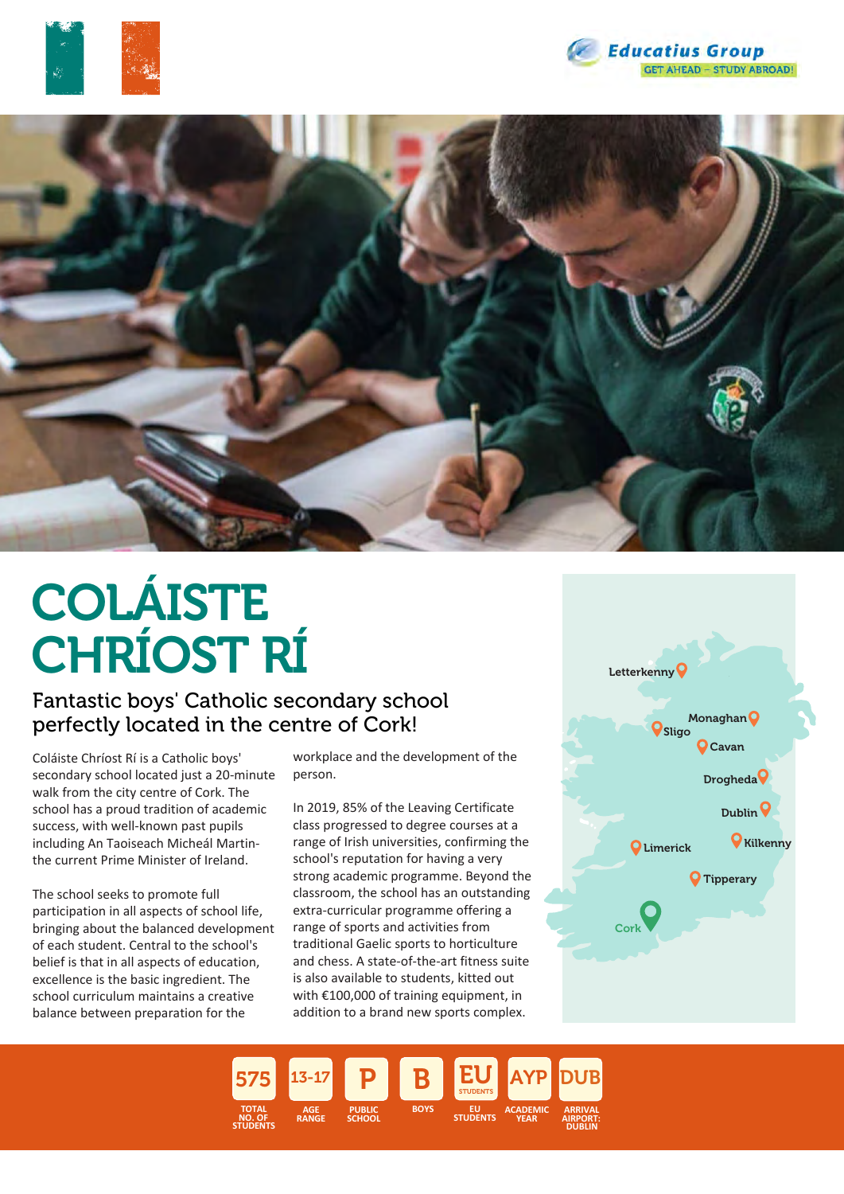





# COLÁISTE CHRÍOST RÍ

### Fantastic boys' Catholic secondary school perfectly located in the centre of Cork!

Coláiste Chríost Rí is a Catholic boys' secondary school located just a 20-minute walk from the city centre of Cork. The school has a proud tradition of academic success, with well-known past pupils including An Taoiseach Micheál Martinthe current Prime Minister of Ireland.

The school seeks to promote full participation in all aspects of school life, bringing about the balanced development of each student. Central to the school's belief is that in all aspects of education, excellence is the basic ingredient. The school curriculum maintains a creative balance between preparation for the

workplace and the development of the person.

In 2019, 85% of the Leaving Certificate class progressed to degree courses at a range of Irish universities, confirming the school's reputation for having a very strong academic programme. Beyond the classroom, the school has an outstanding extra-curricular programme offering a range of sports and activities from traditional Gaelic sports to horticulture and chess. A state-of-the-art fitness suite is also available to students, kitted out with €100,000 of training equipment, in addition to a brand new sports complex.



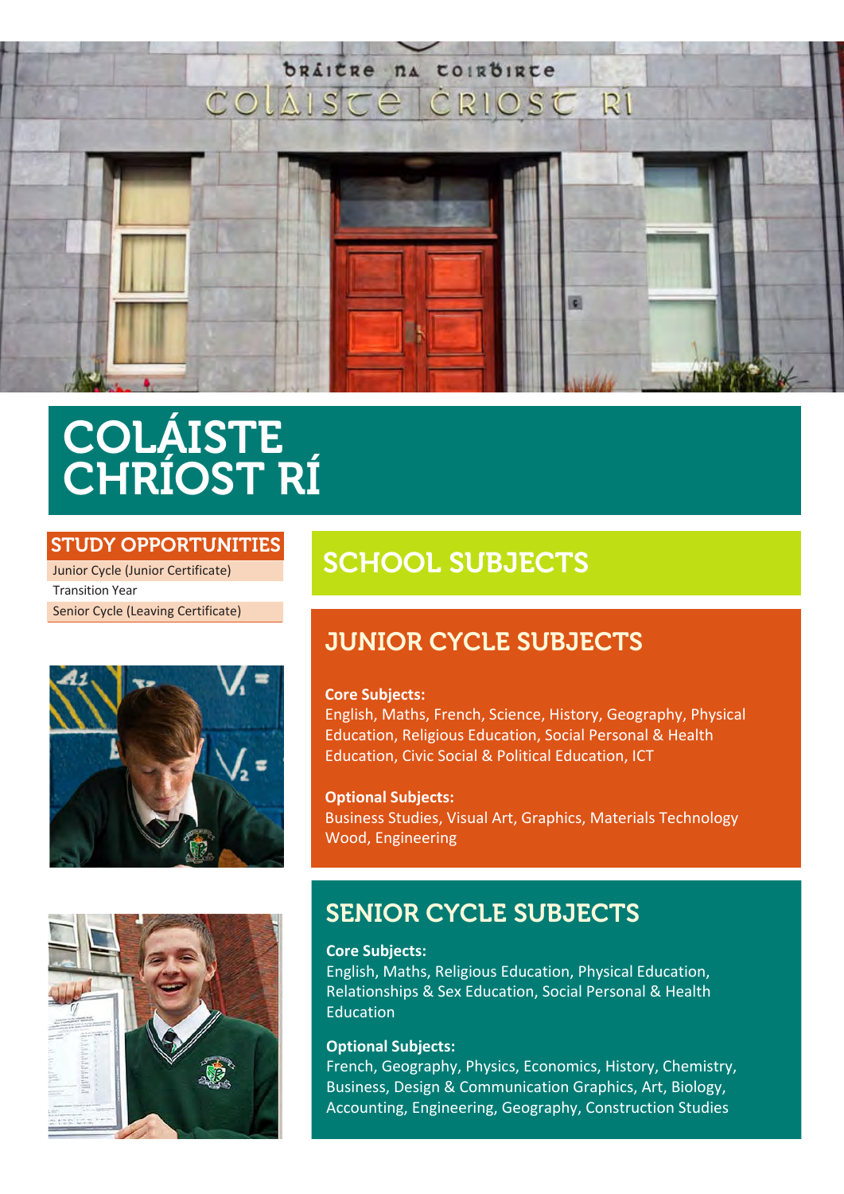

## COLÁISTE CHRÍOST RÍ

#### STUDY OPPORTUNITIES

Junior Cycle (Junior Certificate) Transition Year Senior Cycle (Leaving Certificate)



## SCHOOL SUBJECTS

### JUNIOR CYCLE SUBJECTS

#### **Core Subjects:**

English, Maths, French, Science, History, Geography, Physical Education, Religious Education, Social Personal & Health Education, Civic Social & Political Education, ICT

**Optional Subjects:** Business Studies, Visual Art, Graphics, Materials Technology Wood, Engineering



## SENIOR CYCLE SUBJECTS

#### **Core Subjects:**

English, Maths, Religious Education, Physical Education, Relationships & Sex Education, Social Personal & Health Education

#### **Optional Subjects:**

French, Geography, Physics, Economics, History, Chemistry, Business, Design & Communication Graphics, Art, Biology, Accounting, Engineering, Geography, Construction Studies